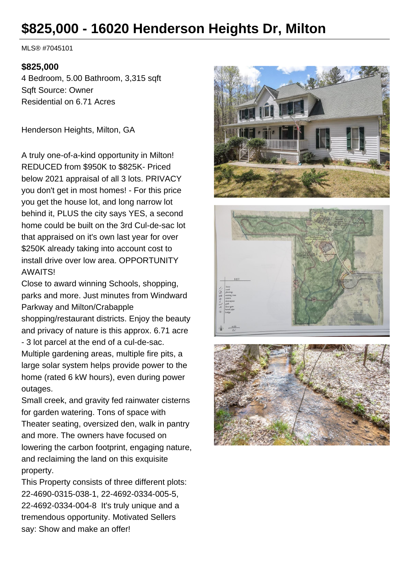# **\$825,000 - 16020 Henderson Heights Dr, Milton**

MLS® #7045101

#### **\$825,000**

4 Bedroom, 5.00 Bathroom, 3,315 sqft Sqft Source: Owner Residential on 6.71 Acres

Henderson Heights, Milton, GA

A truly one-of-a-kind opportunity in Milton! REDUCED from \$950K to \$825K- Priced below 2021 appraisal of all 3 lots. PRIVACY you don't get in most homes! - For this price you get the house lot, and long narrow lot behind it, PLUS the city says YES, a second home could be built on the 3rd Cul-de-sac lot that appraised on it's own last year for over \$250K already taking into account cost to install drive over low area. OPPORTUNITY AWAITS!

Close to award winning Schools, shopping, parks and more. Just minutes from Windward Parkway and Milton/Crabapple

shopping/restaurant districts. Enjoy the beauty and privacy of nature is this approx. 6.71 acre

- 3 lot parcel at the end of a cul-de-sac. Multiple gardening areas, multiple fire pits, a large solar system helps provide power to the home (rated 6 kW hours), even during power outages.

Small creek, and gravity fed rainwater cisterns for garden watering. Tons of space with Theater seating, oversized den, walk in pantry and more. The owners have focused on lowering the carbon footprint, engaging nature, and reclaiming the land on this exquisite property.

This Property consists of three different plots: 22-4690-0315-038-1, 22-4692-0334-005-5, 22-4692-0334-004-8 It's truly unique and a tremendous opportunity. Motivated Sellers say: Show and make an offer!





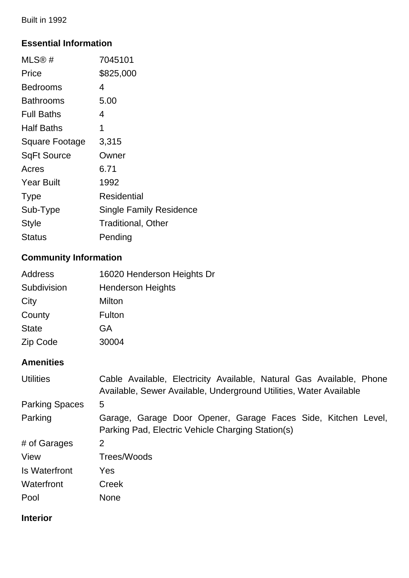Built in 1992

## **Essential Information**

| MLS® #                | 7045101                        |
|-----------------------|--------------------------------|
| Price                 | \$825,000                      |
| Bedrooms              | 4                              |
| Bathrooms             | 5.00                           |
| <b>Full Baths</b>     | 4                              |
| Half Baths            | 1                              |
| <b>Square Footage</b> | 3,315                          |
| <b>SqFt Source</b>    | Owner                          |
| Acres                 | 6.71                           |
| <b>Year Built</b>     | 1992                           |
| <b>Type</b>           | Residential                    |
| Sub-Type              | <b>Single Family Residence</b> |
| Style                 | <b>Traditional, Other</b>      |
| Status                | Pending                        |
|                       |                                |

# **Community Information**

| 16020 Henderson Heights Dr |
|----------------------------|
| <b>Henderson Heights</b>   |
| Milton                     |
| Fulton                     |
| <b>GA</b>                  |
| 30004                      |
|                            |

# **Amenities**

| <b>Utilities</b>      | Cable Available, Electricity Available, Natural Gas Available, Phone<br>Available, Sewer Available, Underground Utilities, Water Available |
|-----------------------|--------------------------------------------------------------------------------------------------------------------------------------------|
| <b>Parking Spaces</b> | 5                                                                                                                                          |
| Parking               | Garage, Garage Door Opener, Garage Faces Side, Kitchen Level,<br>Parking Pad, Electric Vehicle Charging Station(s)                         |
| # of Garages          | 2                                                                                                                                          |
| View                  | Trees/Woods                                                                                                                                |
| Is Waterfront         | Yes                                                                                                                                        |
| Waterfront            | Creek                                                                                                                                      |
| Pool                  | <b>None</b>                                                                                                                                |

## **Interior**